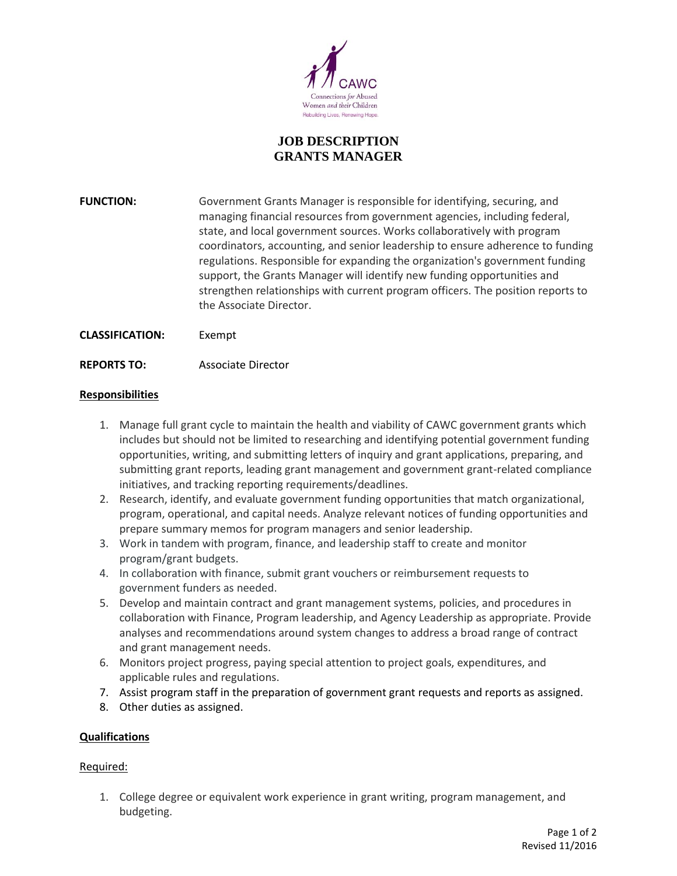

# **JOB DESCRIPTION GRANTS MANAGER**

**FUNCTION:** Government Grants Manager is responsible for identifying, securing, and managing financial resources from government agencies, including federal, state, and local government sources. Works collaboratively with program coordinators, accounting, and senior leadership to ensure adherence to funding regulations. Responsible for expanding the organization's government funding support, the Grants Manager will identify new funding opportunities and strengthen relationships with current program officers. The position reports to the Associate Director.

- **CLASSIFICATION:** Exempt
- **REPORTS TO:** Associate Director

### **Responsibilities**

- 1. Manage full grant cycle to maintain the health and viability of CAWC government grants which includes but should not be limited to researching and identifying potential government funding opportunities, writing, and submitting letters of inquiry and grant applications, preparing, and submitting grant reports, leading grant management and government grant-related compliance initiatives, and tracking reporting requirements/deadlines.
- 2. Research, identify, and evaluate government funding opportunities that match organizational, program, operational, and capital needs. Analyze relevant notices of funding opportunities and prepare summary memos for program managers and senior leadership.
- 3. Work in tandem with program, finance, and leadership staff to create and monitor program/grant budgets.
- 4. In collaboration with finance, submit grant vouchers or reimbursement requests to government funders as needed.
- 5. Develop and maintain contract and grant management systems, policies, and procedures in collaboration with Finance, Program leadership, and Agency Leadership as appropriate. Provide analyses and recommendations around system changes to address a broad range of contract and grant management needs.
- 6. Monitors project progress, paying special attention to project goals, expenditures, and applicable rules and regulations.
- 7. Assist program staff in the preparation of government grant requests and reports as assigned.
- 8. Other duties as assigned.

#### **Qualifications**

#### Required:

1. College degree or equivalent work experience in grant writing, program management, and budgeting.